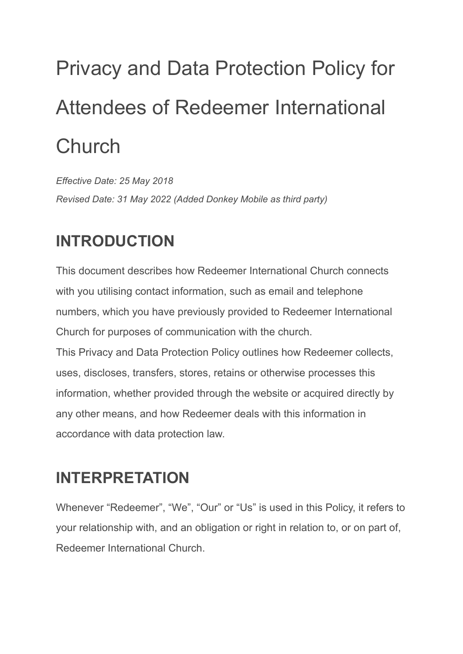# Privacy and Data Protection Policy for Attendees of Redeemer International **Church**

*Effective Date: 25 May 2018 Revised Date: 31 May 2022 (Added Donkey Mobile as third party)*

### **INTRODUCTION**

This document describes how Redeemer International Church connects with you utilising contact information, such as email and telephone numbers, which you have previously provided to Redeemer International Church for purposes of communication with the church. This Privacy and Data Protection Policy outlines how Redeemer collects, uses, discloses, transfers, stores, retains or otherwise processes this information, whether provided through the website or acquired directly by any other means, and how Redeemer deals with this information in accordance with data protection law.

### **INTERPRETATION**

Whenever "Redeemer", "We", "Our" or "Us" is used in this Policy, it refers to your relationship with, and an obligation or right in relation to, or on part of, Redeemer International Church.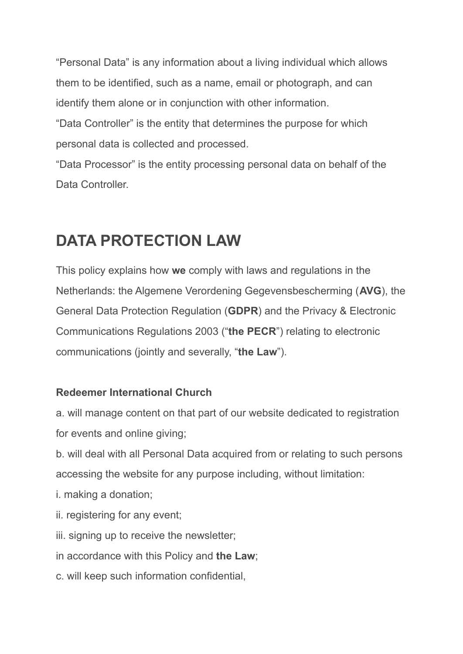"Personal Data" is any information about a living individual which allows them to be identified, such as a name, email or photograph, and can identify them alone or in conjunction with other information.

"Data Controller" is the entity that determines the purpose for which personal data is collected and processed.

"Data Processor" is the entity processing personal data on behalf of the Data Controller.

### **DATA PROTECTION LAW**

This policy explains how **we** comply with laws and regulations in the Netherlands: the Algemene Verordening Gegevensbescherming (**AVG**), the General Data Protection Regulation (**GDPR**) and the Privacy & Electronic Communications Regulations 2003 ("**the PECR**") relating to electronic communications (jointly and severally, "**the Law**").

#### **Redeemer International Church**

a. will manage content on that part of our website dedicated to registration for events and online giving;

b. will deal with all Personal Data acquired from or relating to such persons accessing the website for any purpose including, without limitation:

- i. making a donation;
- ii. registering for any event;
- iii. signing up to receive the newsletter;
- in accordance with this Policy and **the Law**;
- c. will keep such information confidential,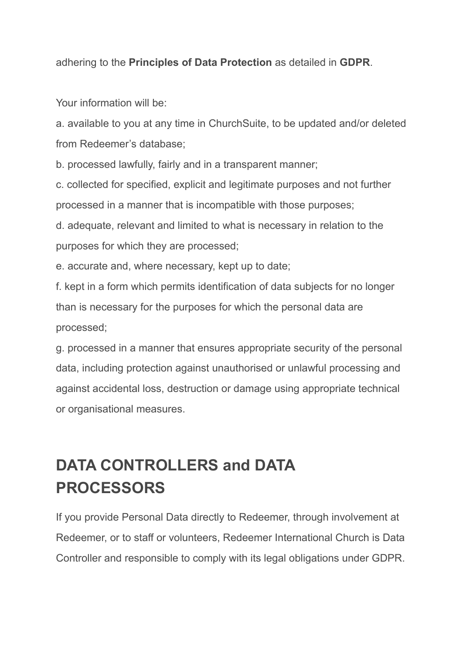adhering to the **Principles of Data Protection** as detailed in **GDPR**.

Your information will be:

a. available to you at any time in ChurchSuite, to be updated and/or deleted from Redeemer's database;

b. processed lawfully, fairly and in a transparent manner;

c. collected for specified, explicit and legitimate purposes and not further processed in a manner that is incompatible with those purposes;

d. adequate, relevant and limited to what is necessary in relation to the purposes for which they are processed;

e. accurate and, where necessary, kept up to date;

f. kept in a form which permits identification of data subjects for no longer than is necessary for the purposes for which the personal data are processed;

g. processed in a manner that ensures appropriate security of the personal data, including protection against unauthorised or unlawful processing and against accidental loss, destruction or damage using appropriate technical or organisational measures.

# **DATA CONTROLLERS and DATA PROCESSORS**

If you provide Personal Data directly to Redeemer, through involvement at Redeemer, or to staff or volunteers, Redeemer International Church is Data Controller and responsible to comply with its legal obligations under GDPR.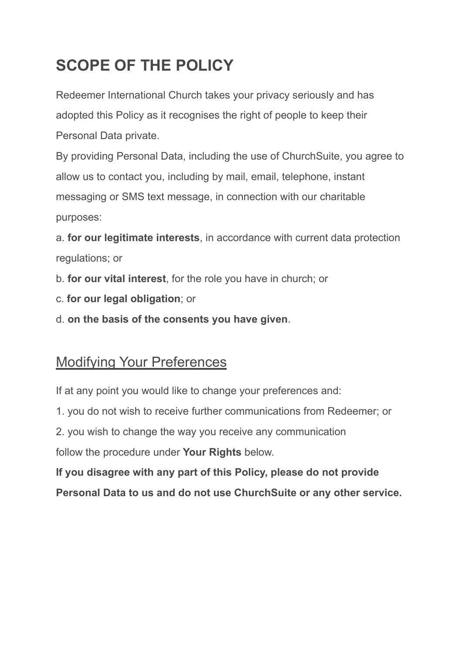# **SCOPE OF THE POLICY**

Redeemer International Church takes your privacy seriously and has adopted this Policy as it recognises the right of people to keep their Personal Data private.

By providing Personal Data, including the use of ChurchSuite, you agree to allow us to contact you, including by mail, email, telephone, instant messaging or SMS text message, in connection with our charitable purposes:

a. **for our legitimate interests**, in accordance with current data protection regulations; or

b. **for our vital interest**, for the role you have in church; or

- c. **for our legal obligation**; or
- d. **on the basis of the consents you have given**.

#### Modifying Your Preferences

If at any point you would like to change your preferences and:

1. you do not wish to receive further communications from Redeemer; or

2. you wish to change the way you receive any communication

follow the procedure under **Your Rights** below.

**If you disagree with any part of this Policy, please do not provide Personal Data to us and do not use ChurchSuite or any other service.**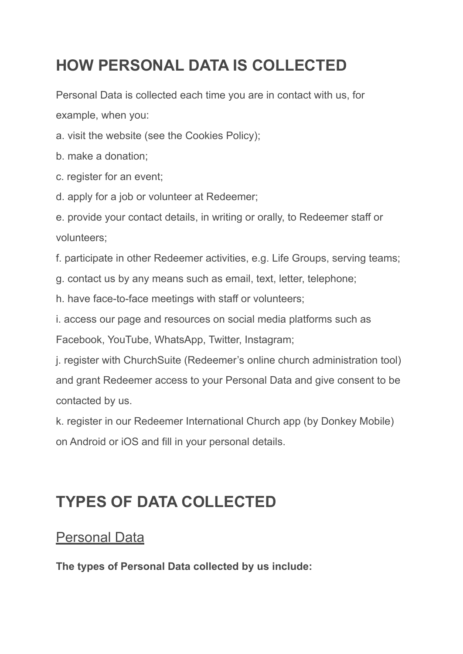# **HOW PERSONAL DATA IS COLLECTED**

Personal Data is collected each time you are in contact with us, for example, when you:

a. visit the website (see the Cookies Policy);

- b. make a donation;
- c. register for an event;
- d. apply for a job or volunteer at Redeemer;

e. provide your contact details, in writing or orally, to Redeemer staff or volunteers;

f. participate in other Redeemer activities, e.g. Life Groups, serving teams;

g. contact us by any means such as email, text, letter, telephone;

h. have face-to-face meetings with staff or volunteers;

i. access our page and resources on social media platforms such as

Facebook, YouTube, WhatsApp, Twitter, Instagram;

j. register with ChurchSuite (Redeemer's online church administration tool) and grant Redeemer access to your Personal Data and give consent to be contacted by us.

k. register in our Redeemer International Church app (by Donkey Mobile) on Android or iOS and fill in your personal details.

### **TYPES OF DATA COLLECTED**

#### Personal Data

**The types of Personal Data collected by us include:**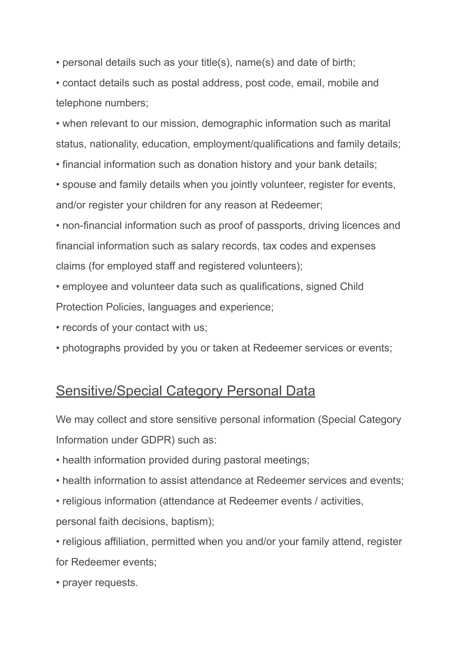• personal details such as your title(s), name(s) and date of birth;

• contact details such as postal address, post code, email, mobile and telephone numbers;

• when relevant to our mission, demographic information such as marital status, nationality, education, employment/qualifications and family details;

• financial information such as donation history and your bank details;

• spouse and family details when you jointly volunteer, register for events, and/or register your children for any reason at Redeemer;

• non-financial information such as proof of passports, driving licences and financial information such as salary records, tax codes and expenses claims (for employed staff and registered volunteers);

- employee and volunteer data such as qualifications, signed Child Protection Policies, languages and experience;
- records of your contact with us;
- photographs provided by you or taken at Redeemer services or events;

#### Sensitive/Special Category Personal Data

We may collect and store sensitive personal information (Special Category Information under GDPR) such as:

- health information provided during pastoral meetings;
- health information to assist attendance at Redeemer services and events;
- religious information (attendance at Redeemer events / activities,

personal faith decisions, baptism);

• religious affiliation, permitted when you and/or your family attend, register for Redeemer events;

• prayer requests.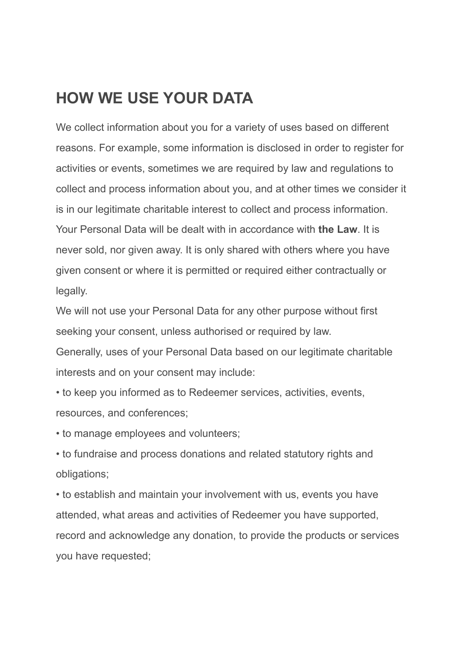#### **HOW WE USE YOUR DATA**

We collect information about you for a variety of uses based on different reasons. For example, some information is disclosed in order to register for activities or events, sometimes we are required by law and regulations to collect and process information about you, and at other times we consider it is in our legitimate charitable interest to collect and process information. Your Personal Data will be dealt with in accordance with **the Law**. It is never sold, nor given away. It is only shared with others where you have given consent or where it is permitted or required either contractually or legally.

We will not use your Personal Data for any other purpose without first seeking your consent, unless authorised or required by law.

Generally, uses of your Personal Data based on our legitimate charitable interests and on your consent may include:

• to keep you informed as to Redeemer services, activities, events, resources, and conferences;

• to manage employees and volunteers;

• to fundraise and process donations and related statutory rights and obligations;

• to establish and maintain your involvement with us, events you have attended, what areas and activities of Redeemer you have supported, record and acknowledge any donation, to provide the products or services you have requested;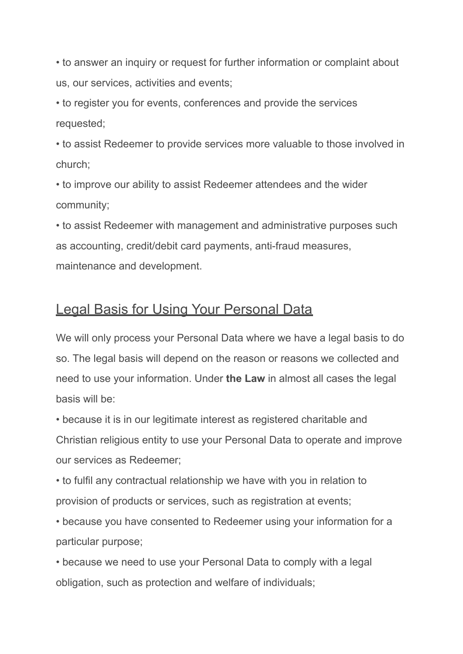• to answer an inquiry or request for further information or complaint about us, our services, activities and events;

• to register you for events, conferences and provide the services requested;

• to assist Redeemer to provide services more valuable to those involved in church;

• to improve our ability to assist Redeemer attendees and the wider community;

• to assist Redeemer with management and administrative purposes such as accounting, credit/debit card payments, anti-fraud measures, maintenance and development.

#### **Legal Basis for Using Your Personal Data**

We will only process your Personal Data where we have a legal basis to do so. The legal basis will depend on the reason or reasons we collected and need to use your information. Under **the Law** in almost all cases the legal basis will be:

• because it is in our legitimate interest as registered charitable and Christian religious entity to use your Personal Data to operate and improve our services as Redeemer;

• to fulfil any contractual relationship we have with you in relation to provision of products or services, such as registration at events;

• because you have consented to Redeemer using your information for a particular purpose;

• because we need to use your Personal Data to comply with a legal obligation, such as protection and welfare of individuals;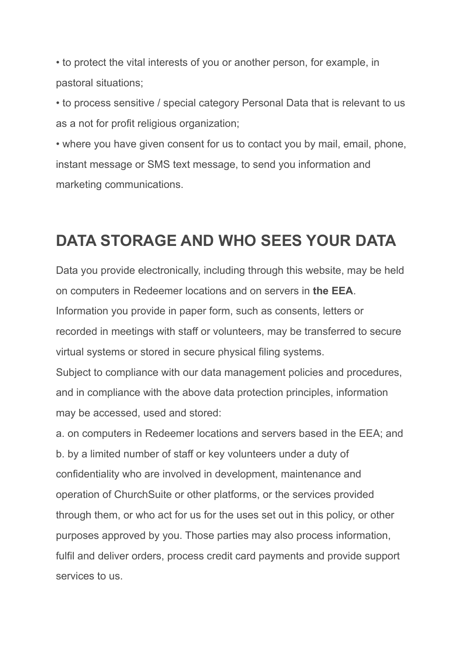• to protect the vital interests of you or another person, for example, in pastoral situations;

• to process sensitive / special category Personal Data that is relevant to us as a not for profit religious organization;

• where you have given consent for us to contact you by mail, email, phone, instant message or SMS text message, to send you information and marketing communications.

#### **DATA STORAGE AND WHO SEES YOUR DATA**

Data you provide electronically, including through this website, may be held on computers in Redeemer locations and on servers in **the EEA**. Information you provide in paper form, such as consents, letters or recorded in meetings with staff or volunteers, may be transferred to secure virtual systems or stored in secure physical filing systems.

Subject to compliance with our data management policies and procedures, and in compliance with the above data protection principles, information may be accessed, used and stored:

a. on computers in Redeemer locations and servers based in the EEA; and b. by a limited number of staff or key volunteers under a duty of confidentiality who are involved in development, maintenance and operation of ChurchSuite or other platforms, or the services provided through them, or who act for us for the uses set out in this policy, or other purposes approved by you. Those parties may also process information, fulfil and deliver orders, process credit card payments and provide support services to us.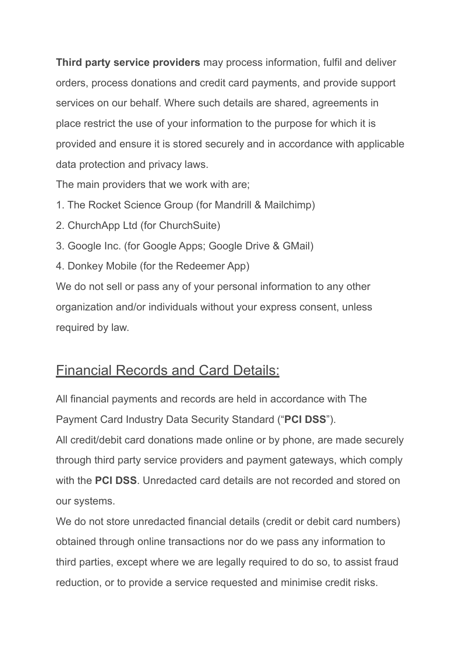**Third party service providers** may process information, fulfil and deliver orders, process donations and credit card payments, and provide support services on our behalf. Where such details are shared, agreements in place restrict the use of your information to the purpose for which it is provided and ensure it is stored securely and in accordance with applicable data protection and privacy laws.

The main providers that we work with are;

- 1. The Rocket Science Group (for Mandrill & Mailchimp)
- 2. ChurchApp Ltd (for ChurchSuite)
- 3. Google Inc. (for Google Apps; Google Drive & GMail)
- 4. Donkey Mobile (for the Redeemer App)

We do not sell or pass any of your personal information to any other organization and/or individuals without your express consent, unless required by law.

#### Financial Records and Card Details:

All financial payments and records are held in accordance with The Payment Card Industry Data Security Standard ("**PCI DSS**").

All credit/debit card donations made online or by phone, are made securely through third party service providers and payment gateways, which comply with the **PCI DSS**. Unredacted card details are not recorded and stored on our systems.

We do not store unredacted financial details (credit or debit card numbers) obtained through online transactions nor do we pass any information to third parties, except where we are legally required to do so, to assist fraud reduction, or to provide a service requested and minimise credit risks.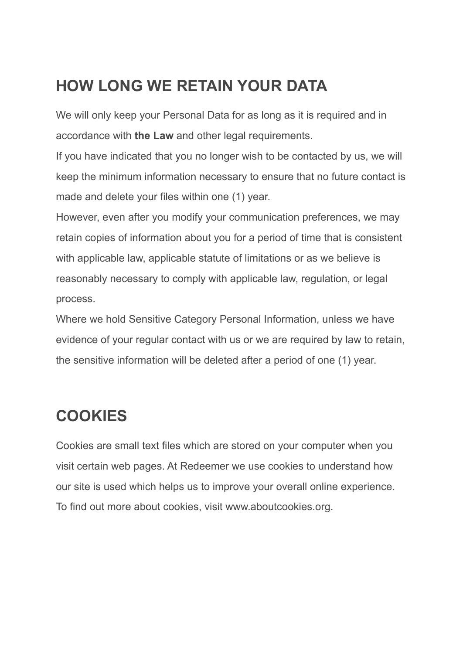#### **HOW LONG WE RETAIN YOUR DATA**

We will only keep your Personal Data for as long as it is required and in accordance with **the Law** and other legal requirements.

If you have indicated that you no longer wish to be contacted by us, we will keep the minimum information necessary to ensure that no future contact is made and delete your files within one (1) year.

However, even after you modify your communication preferences, we may retain copies of information about you for a period of time that is consistent with applicable law, applicable statute of limitations or as we believe is reasonably necessary to comply with applicable law, regulation, or legal process.

Where we hold Sensitive Category Personal Information, unless we have evidence of your regular contact with us or we are required by law to retain, the sensitive information will be deleted after a period of one (1) year.

### **COOKIES**

Cookies are small text files which are stored on your computer when you visit certain web pages. At Redeemer we use cookies to understand how our site is used which helps us to improve your overall online experience. To find out more about cookies, visit www.aboutcookies.org.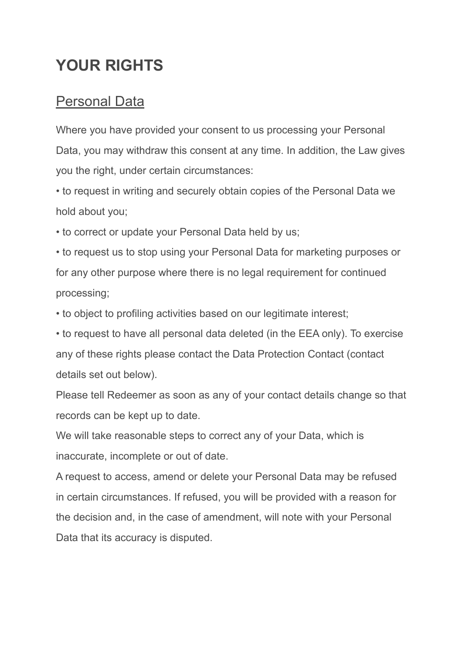### **YOUR RIGHTS**

#### **Personal Data**

Where you have provided your consent to us processing your Personal Data, you may withdraw this consent at any time. In addition, the Law gives you the right, under certain circumstances:

• to request in writing and securely obtain copies of the Personal Data we hold about you;

• to correct or update your Personal Data held by us;

• to request us to stop using your Personal Data for marketing purposes or for any other purpose where there is no legal requirement for continued processing;

• to object to profiling activities based on our legitimate interest;

• to request to have all personal data deleted (in the EEA only). To exercise any of these rights please contact the Data Protection Contact (contact details set out below).

Please tell Redeemer as soon as any of your contact details change so that records can be kept up to date.

We will take reasonable steps to correct any of your Data, which is inaccurate, incomplete or out of date.

A request to access, amend or delete your Personal Data may be refused in certain circumstances. If refused, you will be provided with a reason for the decision and, in the case of amendment, will note with your Personal Data that its accuracy is disputed.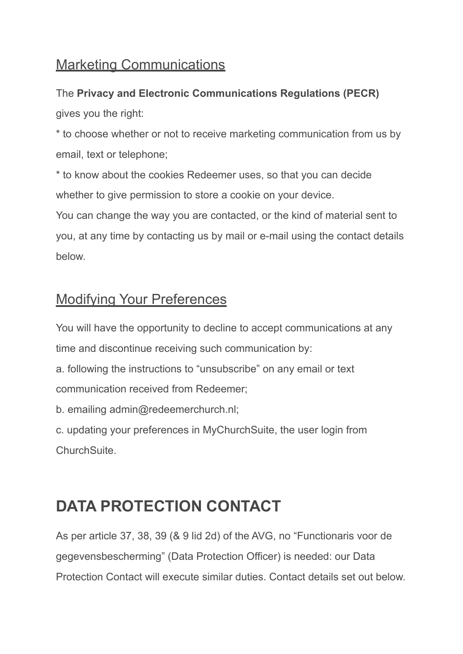#### Marketing Communications

#### The **Privacy and Electronic Communications Regulations (PECR)** gives you the right:

\* to choose whether or not to receive marketing communication from us by email, text or telephone;

\* to know about the cookies Redeemer uses, so that you can decide whether to give permission to store a cookie on your device.

You can change the way you are contacted, or the kind of material sent to you, at any time by contacting us by mail or e-mail using the contact details below.

#### Modifying Your Preferences

You will have the opportunity to decline to accept communications at any time and discontinue receiving such communication by:

a. following the instructions to "unsubscribe" on any email or text communication received from Redeemer;

b. emailing admin@redeemerchurch.nl;

c. updating your preferences in MyChurchSuite, the user login from ChurchSuite.

### **DATA PROTECTION CONTACT**

As per article 37, 38, 39 (& 9 lid 2d) of the AVG, no "Functionaris voor de gegevensbescherming" (Data Protection Officer) is needed: our Data Protection Contact will execute similar duties. Contact details set out below.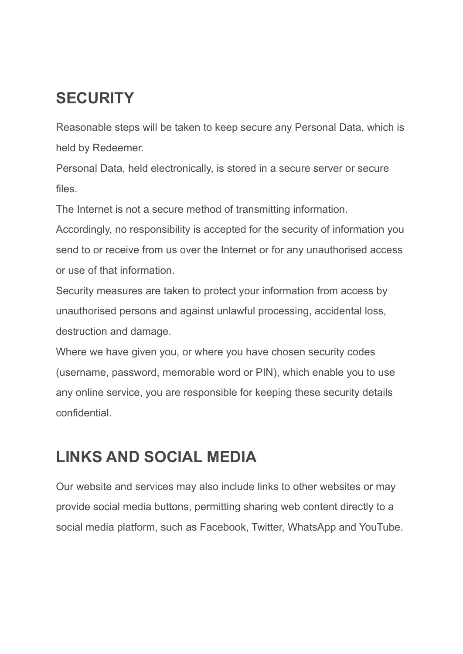### **SECURITY**

Reasonable steps will be taken to keep secure any Personal Data, which is held by Redeemer.

Personal Data, held electronically, is stored in a secure server or secure files.

The Internet is not a secure method of transmitting information.

Accordingly, no responsibility is accepted for the security of information you send to or receive from us over the Internet or for any unauthorised access or use of that information.

Security measures are taken to protect your information from access by unauthorised persons and against unlawful processing, accidental loss, destruction and damage.

Where we have given you, or where you have chosen security codes (username, password, memorable word or PIN), which enable you to use any online service, you are responsible for keeping these security details confidential.

#### **LINKS AND SOCIAL MEDIA**

Our website and services may also include links to other websites or may provide social media buttons, permitting sharing web content directly to a social media platform, such as Facebook, Twitter, WhatsApp and YouTube.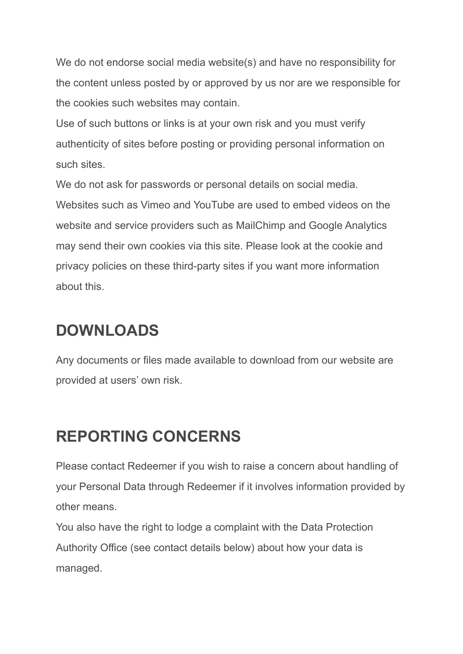We do not endorse social media website(s) and have no responsibility for the content unless posted by or approved by us nor are we responsible for the cookies such websites may contain.

Use of such buttons or links is at your own risk and you must verify authenticity of sites before posting or providing personal information on such sites.

We do not ask for passwords or personal details on social media. Websites such as Vimeo and YouTube are used to embed videos on the website and service providers such as MailChimp and Google Analytics may send their own cookies via this site. Please look at the cookie and privacy policies on these third-party sites if you want more information about this.

#### **DOWNLOADS**

Any documents or files made available to download from our website are provided at users' own risk.

### **REPORTING CONCERNS**

Please contact Redeemer if you wish to raise a concern about handling of your Personal Data through Redeemer if it involves information provided by other means.

You also have the right to lodge a complaint with the Data Protection Authority Office (see contact details below) about how your data is managed.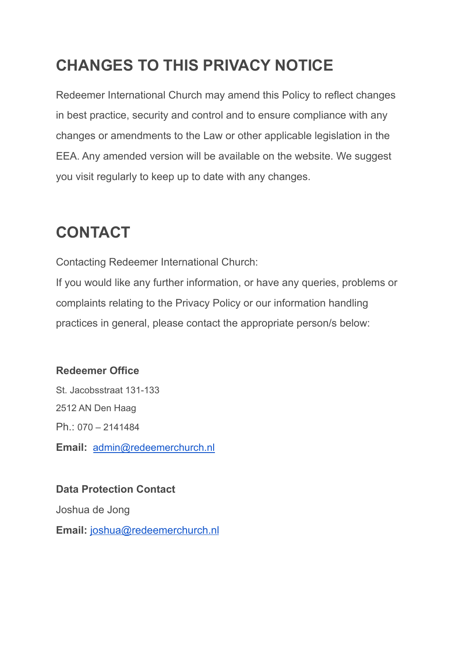# **CHANGES TO THIS PRIVACY NOTICE**

Redeemer International Church may amend this Policy to reflect changes in best practice, security and control and to ensure compliance with any changes or amendments to the Law or other applicable legislation in the EEA. Any amended version will be available on the website. We suggest you visit regularly to keep up to date with any changes.

### **CONTACT**

Contacting Redeemer International Church:

If you would like any further information, or have any queries, problems or complaints relating to the Privacy Policy or our information handling practices in general, please contact the appropriate person/s below:

#### **Redeemer Office**

St. Jacobsstraat 131-133 2512 AN Den Haag Ph.: 070 – 2141484 **Email:** [admin@redeemerchurch.nl](mailto:admin@redeemerchurch.nl)

#### **Data Protection Contact**

Joshua de Jong

**Email:** [joshua@redeemerchurch.nl](mailto:joshua@redeemerchurch.nl)